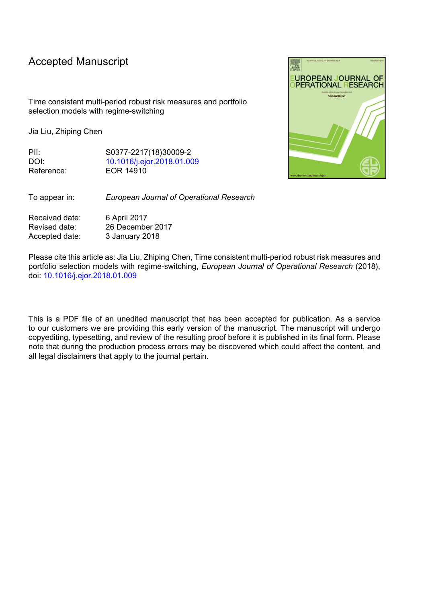## Accepted Manuscript

Time consistent multi-period robust risk measures and portfolio selection models with regime-switching

Jia Liu, Zhiping Chen

PII: S0377-2217(18)30009-2 DOI: [10.1016/j.ejor.2018.01.009](https://doi.org/10.1016/j.ejor.2018.01.009) Reference: EOR 14910

To appear in: *European Journal of Operational Research*

Received date: 6 April 2017 Revised date: 26 December 2017 Accepted date: 3 January 2018

Please cite this article as: Jia Liu, Zhiping Chen, Time consistent multi-period robust risk measures and portfolio selection models with regime-switching, *European Journal of Operational Research* (2018), doi: [10.1016/j.ejor.2018.01.009](https://doi.org/10.1016/j.ejor.2018.01.009)

This is a PDF file of an unedited manuscript that has been accepted for publication. As a service to our customers we are providing this early version of the manuscript. The manuscript will undergo copyediting, typesetting, and review of the resulting proof before it is published in its final form. Please note that during the production process errors may be discovered which could affect the content, and all legal disclaimers that apply to the journal pertain.

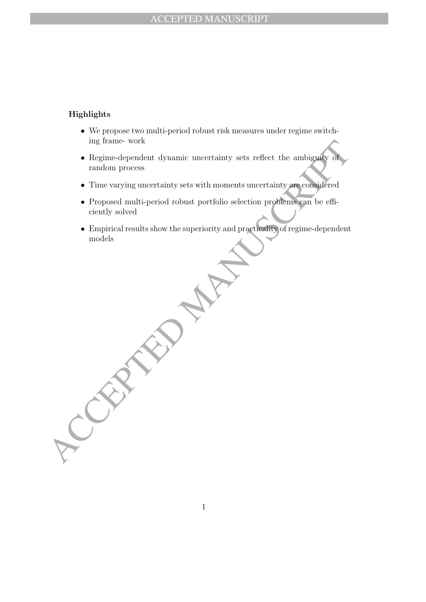## Highlights

- We propose two multi-period robust risk measures under regime switching frame- work
- The dependent dynamic uncertainty sets reflect the ambiguity of<br>
Regime-dependent dynamic uncertainty sets reflect the ambiguity of<br>
rime varying uncertainty sets with moments uncertainty are completed<br>
Proposed multi-peri • Regime-dependent dynamic uncertainty sets reflect the ambiguity of random process
	- Time varying uncertainty sets with moments uncertainty are considered
	- Proposed multi-period robust portfolio selection problems can be efficiently solved
	- Empirical results show the superiority and practicality of regime-dependent models